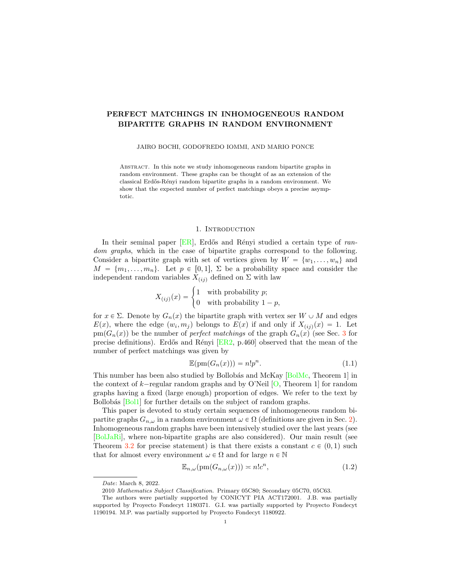# <span id="page-0-1"></span>PERFECT MATCHINGS IN INHOMOGENEOUS RANDOM BIPARTITE GRAPHS IN RANDOM ENVIRONMENT

#### JAIRO BOCHI, GODOFREDO IOMMI, AND MARIO PONCE

Abstract. In this note we study inhomogeneous random bipartite graphs in random environment. These graphs can be thought of as an extension of the classical Erdős-Rényi random bipartite graphs in a random environment. We show that the expected number of perfect matchings obeys a precise asymptotic.

#### 1. INTRODUCTION

In their seminal paper [\[ER\]](#page-6-0), Erdős and Rényi studied a certain type of *random graphs*, which in the case of bipartite graphs correspond to the following. Consider a bipartite graph with set of vertices given by  $W = \{w_1, \ldots, w_n\}$  and  $M = \{m_1, \ldots, m_n\}$ . Let  $p \in [0, 1], \Sigma$  be a probability space and consider the independent random variables  $X_{(ij)}$  defined on  $\Sigma$  with law

$$
X_{(ij)}(x) = \begin{cases} 1 & \text{with probability } p; \\ 0 & \text{with probability } 1 - p, \end{cases}
$$

for  $x \in \Sigma$ . Denote by  $G_n(x)$  the bipartite graph with vertex ser  $W \cup M$  and edges  $E(x)$ , where the edge  $(w_i, m_j)$  belongs to  $E(x)$  if and only if  $X_{(ij)}(x) = 1$ . Let  $p(m(G_n(x))$  be the number of *perfect matchings* of the graph  $G_n(x)$  (see Sec. [3](#page-2-0) for precise definitions). Erdős and Rényi  $[ER2, p.460]$  $[ER2, p.460]$  observed that the mean of the number of perfect matchings was given by

$$
\mathbb{E}(\text{pm}(G_n(x))) = n!p^n. \tag{1.1}
$$

This number has been also studied by Bollobás and McKay [\[BolMc,](#page-6-2) Theorem 1] in the context of  $k$ -regular random graphs and by O'Neil  $[O,$  Theorem 1] for random graphs having a fixed (large enough) proportion of edges. We refer to the text by Bollobás [\[Bol1\]](#page-6-3) for further details on the subject of random graphs.

This paper is devoted to study certain sequences of inhomogeneous random bipartite graphs  $G_{n,\omega}$  in a random environment  $\omega \in \Omega$  (definitions are given in Sec. [2\)](#page-1-0). Inhomogeneous random graphs have been intensively studied over the last years (see [\[BolJaRi\]](#page-6-4), where non-bipartite graphs are also considered). Our main result (see Theorem [3.2](#page-3-0) for precise statement) is that there exists a constant  $c \in (0, 1)$  such that for almost every environment  $\omega \in \Omega$  and for large  $n \in \mathbb{N}$ 

<span id="page-0-0"></span>
$$
\mathbb{E}_{n,\omega}(\text{pm}(G_{n,\omega}(x))) \approx n!c^n,\tag{1.2}
$$

*Date*: March 8, 2022.

<sup>2010</sup> *Mathematics Subject Classification.* Primary 05C80; Secondary 05C70, 05C63.

The authors were partially supported by CONICYT PIA ACT172001. J.B. was partially supported by Proyecto Fondecyt 1180371. G.I. was partially supported by Proyecto Fondecyt 1190194. M.P. was partially supported by Proyecto Fondecyt 1180922.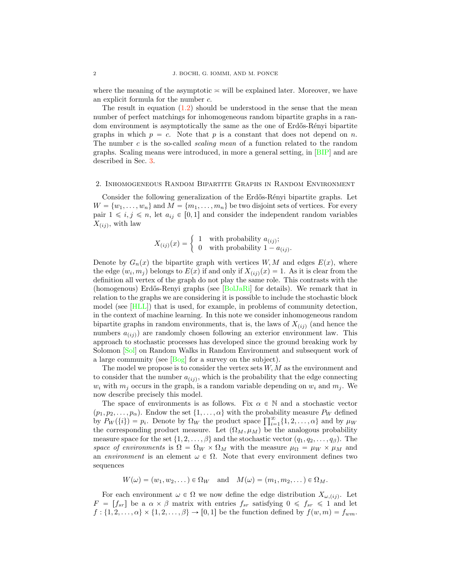<span id="page-1-1"></span>where the meaning of the asymptotic  $\approx$  will be explained later. Moreover, we have an explicit formula for the number c.

The result in equation  $(1.2)$  should be understood in the sense that the mean number of perfect matchings for inhomogeneous random bipartite graphs in a random environment is asymptotically the same as the one of Erdős-Rényi bipartite graphs in which  $p = c$ . Note that p is a constant that does not depend on n. The number c is the so-called *scaling mean* of a function related to the random graphs. Scaling means were introduced, in more a general setting, in [\[BIP\]](#page-6-6) and are described in Sec. [3.](#page-2-0)

### <span id="page-1-0"></span>2. Inhomogeneous Random Bipartite Graphs in Random Environment

Consider the following generalization of the Erd˝os-R´enyi bipartite graphs. Let  $W = \{w_1, \ldots, w_n\}$  and  $M = \{m_1, \ldots, m_n\}$  be two disjoint sets of vertices. For every pair  $1 \le i, j \le n$ , let  $a_{ij} \in [0, 1]$  and consider the independent random variables  $X_{(ij)}$ , with law

$$
X_{(ij)}(x) = \begin{cases} 1 & \text{with probability } a_{(ij)}; \\ 0 & \text{with probability } 1 - a_{(ij)}. \end{cases}
$$

Denote by  $G_n(x)$  the bipartite graph with vertices  $W, M$  and edges  $E(x)$ , where the edge  $(w_i, m_j)$  belongs to  $E(x)$  if and only if  $X_{(ij)}(x) = 1$ . As it is clear from the definition all vertex of the graph do not play the same role. This contrasts with the (homogenous) Erdős-Renyi graphs (see  $[\text{BolJaRi}]$  for details). We remark that in relation to the graphs we are considering it is possible to include the stochastic block model (see [\[HLL\]](#page-7-1)) that is used, for example, in problems of community detection, in the context of machine learning. In this note we consider inhomogeneous random bipartite graphs in random environments, that is, the laws of  $X_{(ij)}$  (and hence the numbers  $a_{(ij)}$  are randomly chosen following an exterior environment law. This approach to stochastic processes has developed since the ground breaking work by Solomon [\[Sol\]](#page-7-2) on Random Walks in Random Environment and subsequent work of a large community (see [\[Bog\]](#page-6-5) for a survey on the subject).

The model we propose is to consider the vertex sets  $W, M$  as the environment and to consider that the number  $a_{(ij)}$ , which is the probability that the edge connecting  $w_i$  with  $m_j$  occurs in the graph, is a random variable depending on  $w_i$  and  $m_j$ . We now describe precisely this model.

The space of environments is as follows. Fix  $\alpha \in \mathbb{N}$  and a stochastic vector  $(p_1, p_2, \ldots, p_\alpha)$ . Endow the set  $\{1, \ldots, \alpha\}$  with the probability measure  $P_W$  defined by  $P_W({i}) = p_i$ . Denote by  $\Omega_W$  the product space  $\prod_{i=1}^{\infty} \{1, 2, ..., \alpha\}$  and by  $\mu_W$ the corresponding product measure. Let  $(\Omega_M, \mu_M)$  be the analogous probability measure space for the set  $\{1, 2, \ldots, \beta\}$  and the stochastic vector  $(q_1, q_2, \ldots, q_\beta)$ . The *space of environments* is  $\Omega = \Omega_W \times \Omega_M$  with the measure  $\mu_{\Omega} = \mu_W \times \mu_M$  and an *environment* is an element  $\omega \in \Omega$ . Note that every environment defines two sequences

 $W(\omega)=(w_1, w_2, \dots) \in \Omega_W$  and  $M(\omega)=(m_1, m_2, \dots) \in \Omega_M$ .

For each environment  $\omega \in \Omega$  we now define the edge distribution  $X_{\omega,(ij)}$ . Let  $F = [f_{sr}]$  be a  $\alpha \times \beta$  matrix with entries  $f_{sr}$  satisfying  $0 \leq f_{sr} \leq 1$  and let  $f: \{1, 2, \ldots, \alpha\} \times \{1, 2, \ldots, \beta\} \rightarrow [0, 1]$  be the function defined by  $f(w, m) = f_{wm}$ .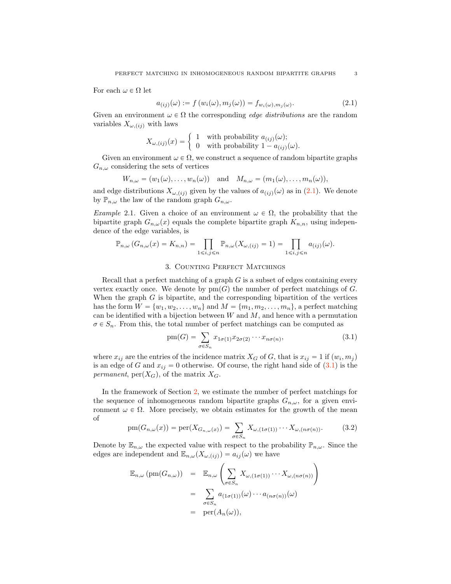For each  $\omega \in \Omega$  let

<span id="page-2-1"></span>
$$
a_{(ij)}(\omega) := f(w_i(\omega), m_j(\omega)) = f_{w_i(\omega), m_j(\omega)}.
$$
 (2.1)

Given an environment  $\omega \in \Omega$  the corresponding *edge distributions* are the random variables  $X_{\omega,(ij)}$  with laws

$$
X_{\omega,(ij)}(x) = \begin{cases} 1 & \text{with probability } a_{(ij)}(\omega); \\ 0 & \text{with probability } 1 - a_{(ij)}(\omega). \end{cases}
$$

Given an environment  $\omega \in \Omega$ , we construct a sequence of random bipartite graphs  $G_{n,\omega}$  considering the sets of vertices

$$
W_{n,\omega} = (w_1(\omega), \dots, w_n(\omega)) \text{ and } M_{n,\omega} = (m_1(\omega), \dots, m_n(\omega)),
$$

and edge distributions  $X_{\omega,(ij)}$  given by the values of  $a_{(ij)}(\omega)$  as in [\(2.1\)](#page-2-1). We denote by  $\mathbb{P}_{n,\omega}$  the law of the random graph  $G_{n,\omega}$ .

*Example* 2.1. Given a choice of an environment  $\omega \in \Omega$ , the probability that the bipartite graph  $G_{n,\omega}(x)$  equals the complete bipartite graph  $K_{n,n}$ , using independence of the edge variables, is

$$
\mathbb{P}_{n,\omega}\left(G_{n,\omega}(x) = K_{n,n}\right) = \prod_{1 \le i,j \le n} \mathbb{P}_{n,\omega}(X_{\omega,(ij)} = 1) = \prod_{1 \le i,j \le n} a_{(ij)}(\omega).
$$

# 3. Counting Perfect Matchings

<span id="page-2-0"></span>Recall that a perfect matching of a graph  $G$  is a subset of edges containing every vertex exactly once. We denote by  $pm(G)$  the number of perfect matchings of G. When the graph  $G$  is bipartite, and the corresponding bipartition of the vertices has the form  $W = \{w_1, w_2, \ldots, w_n\}$  and  $M = \{m_1, m_2, \ldots, m_n\}$ , a perfect matching can be identified with a bijection between  $W$  and  $M$ , and hence with a permutation  $\sigma \in S_n$ . From this, the total number of perfect matchings can be computed as

<span id="page-2-2"></span>
$$
pm(G) = \sum_{\sigma \in S_n} x_{1\sigma(1)} x_{2\sigma(2)} \cdots x_{n\sigma(n)},
$$
\n(3.1)

where  $x_{ij}$  are the entries of the incidence matrix  $X_G$  of G, that is  $x_{ij} = 1$  if  $(w_i, m_j)$ is an edge of G and  $x_{ij} = 0$  otherwise. Of course, the right hand side of  $(3.1)$  is the *permanent*,  $per(X_G)$ , of the matrix  $X_G$ .

In the framework of Section [2,](#page-1-0) we estimate the number of perfect matchings for the sequence of inhomogeneous random bipartite graphs  $G_{n,\omega}$ , for a given environment  $\omega \in \Omega$ . More precisely, we obtain estimates for the growth of the mean of

$$
pm(G_{n,\omega}(x)) = \text{per}(X_{G_{n,\omega}(x)}) = \sum_{\sigma \in S_n} X_{\omega,(1\sigma(1))} \cdots X_{\omega,(n\sigma(n))}.
$$
 (3.2)

Denote by  $\mathbb{E}_{n,\omega}$  the expected value with respect to the probability  $\mathbb{P}_{n,\omega}$ . Since the edges are independent and  $\mathbb{E}_{n,\omega}(X_{\omega,(ij)}) = a_{ij}(\omega)$  we have

$$
\mathbb{E}_{n,\omega}(\text{pm}(G_{n,\omega})) = \mathbb{E}_{n,\omega} \left( \sum_{\sigma \in S_n} X_{\omega,(1\sigma(1))} \cdots X_{\omega,(n\sigma(n))} \right)
$$
  

$$
= \sum_{\sigma \in S_n} a_{(1\sigma(1))}(\omega) \cdots a_{(n\sigma(n))}(\omega)
$$
  

$$
= \text{per}(A_n(\omega)),
$$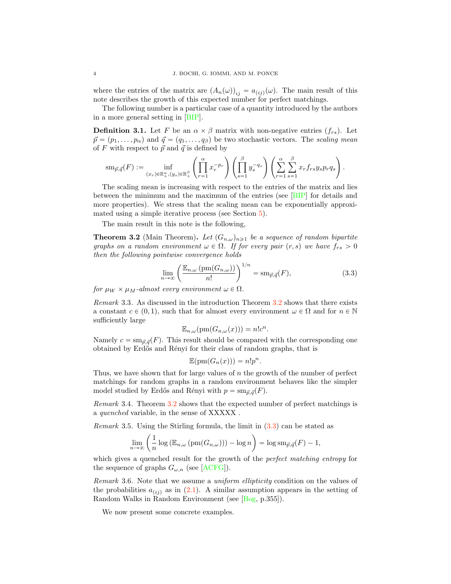<span id="page-3-2"></span>where the entries of the matrix are  $(A_n(\omega))_{ij} = a_{(ij)}(\omega)$ . The main result of this note describes the growth of this expected number for perfect matchings.

The following number is a particular case of a quantity introduced by the authors in a more general setting in [\[BIP\]](#page-6-6).

**Definition 3.1.** Let F be an  $\alpha \times \beta$  matrix with non-negative entries  $(f_{rs})$ . Let  $\vec{p} = (p_1, \ldots, p_\alpha)$  and  $\vec{q} = (q_1, \ldots, q_\beta)$  be two stochastic vectors. The *scaling mean* of F with respect to  $\vec{p}$  and  $\vec{q}$  is defined by

$$
\mathrm{sm}_{\vec{p},\vec{q}}(F) := \inf_{(x_r)\in\mathbb{R}^{\alpha}_{+},(y_s)\in\mathbb{R}^{\beta}_{+}} \left( \prod_{r=1}^{\alpha} x_r^{-p_r} \right) \left( \prod_{s=1}^{\beta} y_s^{-q_s} \right) \left( \sum_{r=1}^{\alpha} \sum_{s=1}^{\beta} x_r f_{rs} y_s p_r q_s \right).
$$

The scaling mean is increasing with respect to the entries of the matrix and lies between the minimum and the maximum of the entries (see [\[BIP\]](#page-6-6) for details and more properties). We stress that the scaling mean can be exponentially approximated using a simple iterative process (see Section [5\)](#page-5-0).

The main result in this note is the following,

<span id="page-3-0"></span>**Theorem 3.2** (Main Theorem). Let  $(G_{n,\omega})_{n\geq 1}$  be a sequence of random bipartite *graphs on a random environment*  $\omega \in \Omega$ *. If for every pair*  $(r, s)$  *we have*  $f_{rs} > 0$ *then the following pointwise convergence holds*

<span id="page-3-1"></span>
$$
\lim_{n \to \infty} \left( \frac{\mathbb{E}_{n,\omega} \left( \text{pm}(G_{n,\omega}) \right)}{n!} \right)^{1/n} = \text{sm}_{\vec{p},\vec{q}}(F),\tag{3.3}
$$

*for*  $\mu_W \times \mu_M$ -almost every environment  $\omega \in \Omega$ .

*Remark* 3.3*.* As discussed in the introduction Theorem [3.2](#page-3-0) shows that there exists a constant  $c \in (0, 1)$ , such that for almost every environment  $\omega \in \Omega$  and for  $n \in \mathbb{N}$ sufficiently large

$$
\mathbb{E}_{n,\omega}(\text{pm}(G_{n,\omega}(x))) \approx n!c^n.
$$

Namely  $c = \mathrm{sm}_{\vec{p}, \vec{q}}(F)$ . This result should be compared with the corresponding one obtained by Erdős and Rényi for their class of random graphs, that is

$$
\mathbb{E}(\mathrm{pm}(G_n(x))) = n!p^n.
$$

Thus, we have shown that for large values of  $n$  the growth of the number of perfect matchings for random graphs in a random environment behaves like the simpler model studied by Erdős and Rényi with  $p = \text{sm}_{\vec{p}, \vec{q}}(F)$ .

*Remark* 3.4*.* Theorem [3.2](#page-3-0) shows that the expected number of perfect matchings is a *quenched* variable, in the sense of XXXXX .

*Remark* 3.5*.* Using the Stirling formula, the limit in [\(3.3\)](#page-3-1) can be stated as

$$
\lim_{n \to \infty} \left( \frac{1}{n} \log \left( \mathbb{E}_{n,\omega} \left( \text{pm}(G_{n,\omega}) \right) \right) - \log n \right) = \log \text{sm}_{\vec{p},\vec{q}}(F) - 1,
$$

which gives a quenched result for the growth of the *perfect matching entropy* for the sequence of graphs  $G_{\omega,n}$  (see [\[ACFG\]](#page-6-7)).

*Remark* 3.6*.* Note that we assume a *uniform ellipticity* condition on the values of the probabilities  $a_{(ij)}$  as in [\(2.1\)](#page-2-1). A similar assumption appears in the setting of Random Walks in Random Environment (see [\[Bog,](#page-6-5) p.355]).

We now present some concrete examples.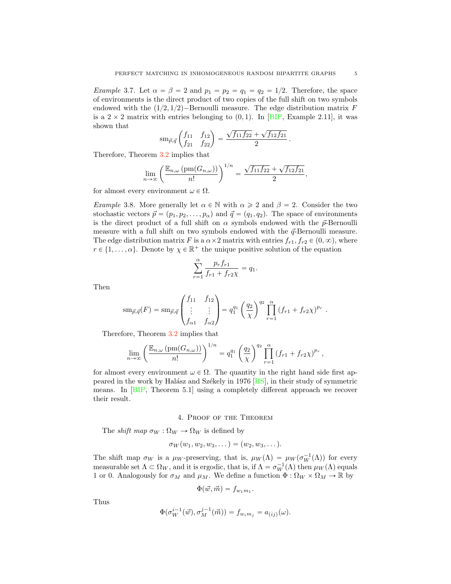<span id="page-4-0"></span>*Example* 3.7*.* Let  $\alpha = \beta = 2$  and  $p_1 = p_2 = q_1 = q_2 = 1/2$ . Therefore, the space of environments is the direct product of two copies of the full shift on two symbols endowed with the  $(1/2, 1/2)$ -Bernoulli measure. The edge distribution matrix F is a  $2 \times 2$  matrix with entries belonging to  $(0, 1)$ . In [\[BIP,](#page-6-6) Example 2.11], it was shown that

$$
\mathrm{sm}_{\vec{p},\vec{q}}\begin{pmatrix} f_{11} & f_{12} \\ f_{21} & f_{22} \end{pmatrix} = \frac{\sqrt{f_{11}f_{22}} + \sqrt{f_{12}f_{21}}}{2}.
$$

Therefore, Theorem [3.2](#page-3-0) implies that

$$
\lim_{n\to\infty}\left(\frac{\mathbb{E}_{n,\omega}\left(\mathrm{pm}(G_{n,\omega})\right)}{n!}\right)^{1/n}=\frac{\sqrt{f_{11}f_{22}}+\sqrt{f_{12}f_{21}}}{2},
$$

for almost every environment  $\omega \in \Omega$ .

*Example* 3.8. More generally let  $\alpha \in \mathbb{N}$  with  $\alpha \geq 2$  and  $\beta = 2$ . Consider the two stochastic vectors  $\vec{p} = (p_1, p_2, \dots, p_\alpha)$  and  $\vec{q} = (q_1, q_2)$ . The space of environments is the direct product of a full shift on  $\alpha$  symbols endowed with the  $\vec{p}$ -Bernoulli measure with a full shift on two symbols endowed with the  $\vec{q}$ -Bernoulli measure. The edge distribution matrix F is a  $\alpha \times 2$  matrix with entries  $f_{r1}, f_{r2} \in (0, \infty)$ , where  $r \in \{1, \ldots, \alpha\}$ . Denote by  $\chi \in \mathbb{R}^+$  the unique positive solution of the equation

$$
\sum_{r=1}^{\alpha} \frac{p_r f_{r1}}{f_{r1} + f_{r2} \chi} = q_1.
$$

Then

$$
\mathrm{sm}_{\vec{p},\vec{q}}(F) = \mathrm{sm}_{\vec{p},\vec{q}}\begin{pmatrix} f_{11} & f_{12} \\ \vdots & \vdots \\ f_{\alpha 1} & f_{\alpha 2} \end{pmatrix} = q_1^{q_1} \left(\frac{q_2}{\chi}\right)^{q_2} \prod_{r=1}^{\alpha} \left(f_{r1} + f_{r2}\chi\right)^{p_r}.
$$

Therefore, Theorem [3.2](#page-3-0) implies that

$$
\lim_{n\to\infty}\left(\frac{\mathbb{E}_{n,\omega}\left(\mathrm{pm}(G_{n,\omega})\right)}{n!}\right)^{1/n}=q_1^{q_1}\left(\frac{q_2}{\chi}\right)^{q_2}\prod_{r=1}^{\alpha}\left(f_{r1}+f_{r2}\chi\right)^{p_r},
$$

for almost every environment  $\omega \in \Omega$ . The quantity in the right hand side first appeared in the work by Halász and Székely in 1976  $[HS]$ , in their study of symmetric means. In [\[BIP,](#page-6-6) Theorem 5.1] using a completely different approach we recover their result.

## 4. Proof of the Theorem

The *shift map*  $\sigma_W : \Omega_W \to \Omega_W$  is defined by

$$
\sigma_W(w_1, w_2, w_3, \dots) = (w_2, w_3, \dots).
$$

The shift map  $\sigma_W$  is a  $\mu_W$ -preserving, that is,  $\mu_W(\Lambda) = \mu_W(\sigma_W^{-1}(\Lambda))$  for every measurable set  $\Lambda \subset \Omega_W$ , and it is ergodic, that is, if  $\Lambda = \sigma_W^{-1}(\Lambda)$  then  $\mu_W(\Lambda)$  equals 1 or 0. Analogously for  $\sigma_M$  and  $\mu_M$ . We define a function  $\Phi : \Omega_W \times \Omega_M \to \mathbb{R}$  by

$$
\Phi(\vec{w},\vec{m})=f_{w_1m_1}.
$$

Thus

$$
\Phi(\sigma_W^{i-1}(\vec{w}), \sigma_M^{j-1}(\vec{m})) = f_{w_i m_j} = a_{(ij)}(\omega).
$$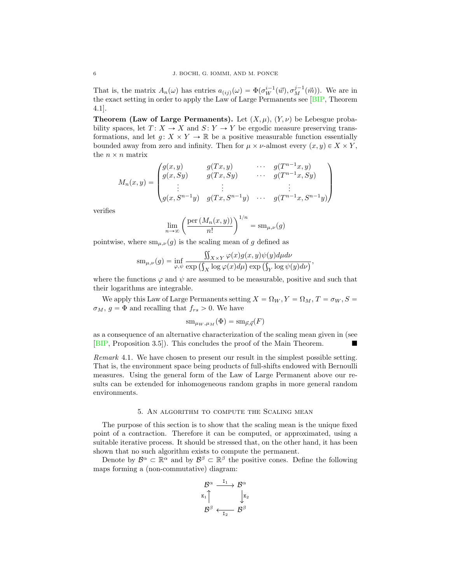That is, the matrix  $A_n(\omega)$  has entries  $a_{(ij)}(\omega) = \Phi(\sigma_W^{i-1}(\vec{w}), \sigma_M^{j-1}(\vec{m}))$ . We are in the exact setting in order to apply the Law of Large Permanents see [\[BIP,](#page-6-6) Theorem 4.1].

**Theorem (Law of Large Permanents).** Let  $(X, \mu)$ ,  $(Y, \nu)$  be Lebesgue probability spaces, let  $T: X \to X$  and  $S: Y \to Y$  be ergodic measure preserving transformations, and let  $g: X \times Y \to \mathbb{R}$  be a positive measurable function essentially bounded away from zero and infinity. Then for  $\mu \times \nu$ -almost every  $(x, y) \in X \times Y$ , the  $n \times n$  matrix

$$
M_n(x,y) = \begin{pmatrix} g(x,y) & g(Tx,y) & \cdots & g(T^{n-1}x,y) \\ g(x, Sy) & g(Tx, Sy) & \cdots & g(T^{n-1}x, Sy) \\ \vdots & \vdots & & \vdots \\ g(x, S^{n-1}y) & g(Tx, S^{n-1}y) & \cdots & g(T^{n-1}x, S^{n-1}y) \end{pmatrix}
$$

verifies

$$
\lim_{n \to \infty} \left( \frac{\text{per}(M_n(x, y))}{n!} \right)^{1/n} = \text{sm}_{\mu, \nu}(g)
$$

pointwise, where  $\operatorname{sm}_{\mu,\nu}(g)$  is the scaling mean of g defined as

$$
\mathrm{sm}_{\mu,\nu}(g)=\inf_{\varphi,\psi}\frac{\iint_{X\times Y}\varphi(x)g(x,y)\psi(y)d\mu d\nu}{\exp\left(\int_X\log\varphi(x)d\mu\right)\exp\left(\int_Y\log\psi(y)d\nu\right)},
$$

where the functions  $\varphi$  and  $\psi$  are assumed to be measurable, positive and such that their logarithms are integrable.

We apply this Law of Large Permanents setting  $X = \Omega_W, Y = \Omega_M, T = \sigma_W, S =$  $\sigma_M$ ,  $g = \Phi$  and recalling that  $f_{rs} > 0$ . We have

$$
\mathrm{sm}_{\mu_W,\mu_M}(\Phi) = \mathrm{sm}_{\vec{p},\vec{q}}(F)
$$

as a consequence of an alternative characterization of the scaling mean given in (see [\[BIP,](#page-6-6) Proposition 3.5]). This concludes the proof of the Main Theorem. !

*Remark* 4.1*.* We have chosen to present our result in the simplest possible setting. That is, the environment space being products of full-shifts endowed with Bernoulli measures. Using the general form of the Law of Large Permanent above our results can be extended for inhomogeneous random graphs in more general random environments.

### 5. An algorithm to compute the Scaling mean

<span id="page-5-0"></span>The purpose of this section is to show that the scaling mean is the unique fixed point of a contraction. Therefore it can be computed, or approximated, using a suitable iterative process. It should be stressed that, on the other hand, it has been shown that no such algorithm exists to compute the permanent.

Denote by  $\mathcal{B}^{\alpha} \subset \mathbb{R}^{\alpha}$  and by  $\mathcal{B}^{\beta} \subset \mathbb{R}^{\beta}$  the positive cones. Define the following maps forming a (non-commutative) diagram:

$$
\begin{array}{ccc}\n\mathcal{B}^{\alpha} & \xrightarrow{I_{1}} & \mathcal{B}^{\alpha} \\
\upharpoonright^{K_{1}} & & \downarrow^{K_{2}} \\
\mathcal{B}^{\beta} & \xleftarrow{I_{2}} & \mathcal{B}^{\beta}\n\end{array}
$$

<span id="page-5-1"></span>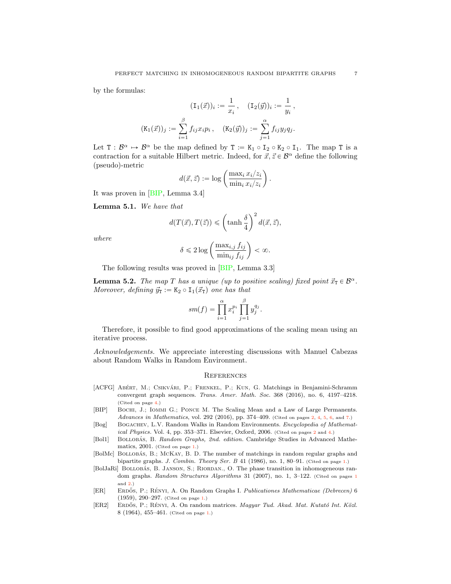<span id="page-6-8"></span>by the formulas:

$$
(\mathbf{I}_{1}(\vec{x}))_{i} := \frac{1}{x_{i}}, \quad (\mathbf{I}_{2}(\vec{y}))_{i} := \frac{1}{y_{i}},
$$

$$
(\mathbf{K}_{1}(\vec{x}))_{j} := \sum_{i=1}^{\beta} f_{ij} x_{i} p_{i}, \quad (\mathbf{K}_{2}(\vec{y}))_{j} := \sum_{j=1}^{\alpha} f_{ij} y_{j} q_{j}.
$$

Let  $T : \mathcal{B}^{\alpha} \mapsto \mathcal{B}^{\alpha}$  be the map defined by  $T := K_1 \circ I_2 \circ K_2 \circ I_1$ . The map T is a contraction for a suitable Hilbert metric. Indeed, for  $\vec{x}, \vec{z} \in \mathcal{B}^{\alpha}$  define the following (pseudo)-metric

$$
d(\vec{x}, \vec{z}) := \log \left( \frac{\max_i x_i / z_i}{\min_i x_i / z_i} \right).
$$

It was proven in [\[BIP,](#page-6-6) Lemma 3.4]

Lemma 5.1. *We have that*

$$
d(T(\vec{x}), T(\vec{z})) \leq (\tanh \frac{\delta}{4})^2 d(\vec{x}, \vec{z}),
$$

*where*

$$
\delta \leq 2 \log \left( \frac{\max_{i,j} f_{ij}}{\min_{ij} f_{ij}} \right) < \infty.
$$

The following results was proved in [\[BIP,](#page-6-6) Lemma 3.3]

**Lemma 5.2.** *The map T has a unique (up to positive scaling) fixed point*  $\vec{x}_T \in \mathcal{B}^\alpha$ . *Moreover, defining*  $\vec{y}_T := K_2 \circ I_1(\vec{x}_T)$  *one has that* 

$$
sm(f) = \prod_{i=1}^{\alpha} x_i^{p_i} \prod_{j=1}^{\beta} y_j^{q_j}.
$$

Therefore, it possible to find good approximations of the scaling mean using an iterative process.

*Acknowledgements.* We appreciate interesting discussions with Manuel Cabezas about Random Walks in Random Environment.

### **REFERENCES**

- <span id="page-6-7"></span>[ACFG] ABÉRT, M.; CSIKVÁRI, P.; FRENKEL, P.; KUN, G. Matchings in Benjamini-Schramm convergent graph sequences. *Trans. Amer. Math. Soc.* 368 (2016), no. 6, 4197–4218. (Cited on page [4.](#page-3-2))
- <span id="page-6-6"></span>[BIP] BOCHI, J.; IOMMI G.; PONCE M. The Scaling Mean and a Law of Large Permanents. *Advances in Mathematics*, vol. 292 (2016), pp. 374–409. (Cited on pages [2,](#page-1-1) [4,](#page-3-2) [5,](#page-4-0) [6,](#page-5-1) and [7.](#page-6-8))
- <span id="page-6-5"></span>[Bog] Bogachev, L.V. Random Walks in Random Environments. *Encyclopedia of Mathematical Physics.* Vol. 4, pp. 353–371. Elsevier, Oxford, 2006. (Cited on pages [2](#page-1-1) and [4.](#page-3-2))
- <span id="page-6-3"></span>[Bol1] BOLLOBÁS, B. *Random Graphs, 2nd. edition.* Cambridge Studies in Advanced Mathematics, 2001. (Cited on page [1.](#page-0-1))
- <span id="page-6-2"></span>[BolMc] BOLLOBÁS, B.; MCKAY, B. D. The number of matchings in random regular graphs and bipartite graphs. *J. Combin. Theory Ser. B* 41 (1986), no. 1, 80–91. (Cited on page [1.](#page-0-1))
- <span id="page-6-4"></span>[BolJaRi] BOLLOBÁS, B. JANSON, S.; RIORDAN., O. The phase transition in inhomogeneous random graphs. *Random Structures Algorithms* 31 (2007), no. 1, 3–122. (Cited on pages [1](#page-0-1) and [2.](#page-1-1))
- <span id="page-6-0"></span>[ER] ERDŐS, P.; RÉNYI, A. On Random Graphs I. *Publicationes Mathematicae (Debrecen)* 6 (1959), 290–297. (Cited on page [1.](#page-0-1))
- <span id="page-6-1"></span>[ER2] ERDŐS, P.; RÉNYI, A. On random matrices. *Magyar Tud. Akad. Mat. Kutató Int. Közl.* 8 (1964), 455–461. (Cited on page [1.](#page-0-1))